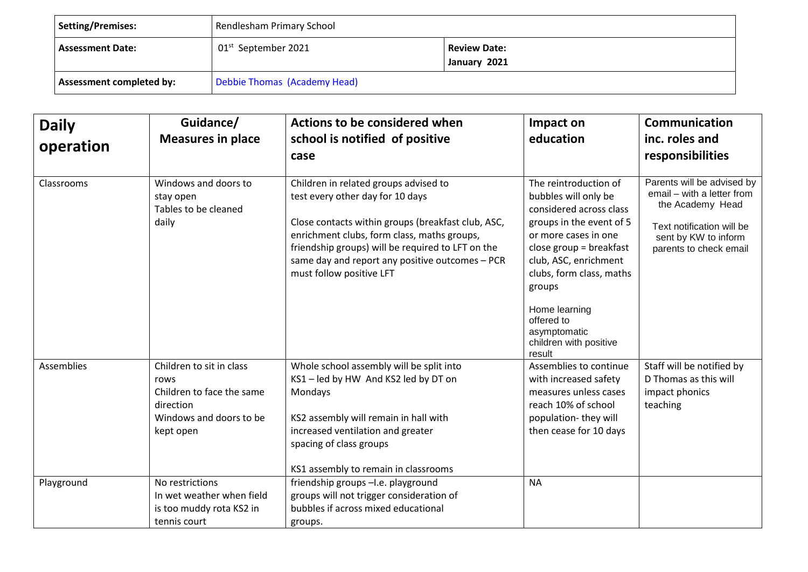| <b>Setting/Premises:</b>        | Rendlesham Primary School                                              |  |  |
|---------------------------------|------------------------------------------------------------------------|--|--|
| <b>Assessment Date:</b>         | 01 <sup>st</sup> September 2021<br><b>Review Date:</b><br>January 2021 |  |  |
| <b>Assessment completed by:</b> | Debbie Thomas (Academy Head)                                           |  |  |

| <b>Daily</b><br>operation | Guidance/<br><b>Measures in place</b>                                                                              | Actions to be considered when<br>school is notified of positive<br>case                                                                                                                                                                                                                                            | Impact on<br>education                                                                                                                                                                                                                                                                                      | Communication<br>inc. roles and<br>responsibilities                                                                                                         |
|---------------------------|--------------------------------------------------------------------------------------------------------------------|--------------------------------------------------------------------------------------------------------------------------------------------------------------------------------------------------------------------------------------------------------------------------------------------------------------------|-------------------------------------------------------------------------------------------------------------------------------------------------------------------------------------------------------------------------------------------------------------------------------------------------------------|-------------------------------------------------------------------------------------------------------------------------------------------------------------|
| Classrooms                | Windows and doors to<br>stay open<br>Tables to be cleaned<br>daily                                                 | Children in related groups advised to<br>test every other day for 10 days<br>Close contacts within groups (breakfast club, ASC,<br>enrichment clubs, form class, maths groups,<br>friendship groups) will be required to LFT on the<br>same day and report any positive outcomes - PCR<br>must follow positive LFT | The reintroduction of<br>bubbles will only be<br>considered across class<br>groups in the event of 5<br>or more cases in one<br>close group = $breakfast$<br>club, ASC, enrichment<br>clubs, form class, maths<br>groups<br>Home learning<br>offered to<br>asymptomatic<br>children with positive<br>result | Parents will be advised by<br>email - with a letter from<br>the Academy Head<br>Text notification will be<br>sent by KW to inform<br>parents to check email |
| Assemblies                | Children to sit in class<br>rows<br>Children to face the same<br>direction<br>Windows and doors to be<br>kept open | Whole school assembly will be split into<br>KS1-led by HW And KS2 led by DT on<br>Mondays<br>KS2 assembly will remain in hall with<br>increased ventilation and greater<br>spacing of class groups<br>KS1 assembly to remain in classrooms                                                                         | Assemblies to continue<br>with increased safety<br>measures unless cases<br>reach 10% of school<br>population-they will<br>then cease for 10 days                                                                                                                                                           | Staff will be notified by<br>D Thomas as this will<br>impact phonics<br>teaching                                                                            |
| Playground                | No restrictions<br>In wet weather when field<br>is too muddy rota KS2 in<br>tennis court                           | friendship groups -I.e. playground<br>groups will not trigger consideration of<br>bubbles if across mixed educational<br>groups.                                                                                                                                                                                   | <b>NA</b>                                                                                                                                                                                                                                                                                                   |                                                                                                                                                             |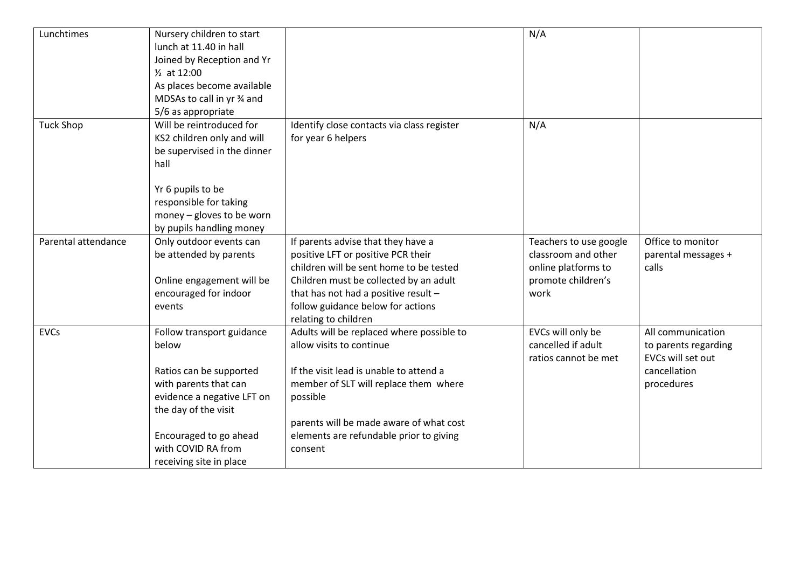| Lunchtimes          | Nursery children to start<br>lunch at 11.40 in hall<br>Joined by Reception and Yr<br>1/ <sub>2</sub> at 12:00<br>As places become available<br>MDSAs to call in yr % and<br>5/6 as appropriate                          |                                                                                                                                                                                                                                                                        | N/A                                                                                                |                                                                                              |
|---------------------|-------------------------------------------------------------------------------------------------------------------------------------------------------------------------------------------------------------------------|------------------------------------------------------------------------------------------------------------------------------------------------------------------------------------------------------------------------------------------------------------------------|----------------------------------------------------------------------------------------------------|----------------------------------------------------------------------------------------------|
| <b>Tuck Shop</b>    | Will be reintroduced for<br>KS2 children only and will<br>be supervised in the dinner<br>hall<br>Yr 6 pupils to be<br>responsible for taking<br>money - gloves to be worn<br>by pupils handling money                   | Identify close contacts via class register<br>for year 6 helpers                                                                                                                                                                                                       | N/A                                                                                                |                                                                                              |
| Parental attendance | Only outdoor events can<br>be attended by parents<br>Online engagement will be<br>encouraged for indoor<br>events                                                                                                       | If parents advise that they have a<br>positive LFT or positive PCR their<br>children will be sent home to be tested<br>Children must be collected by an adult<br>that has not had a positive result -<br>follow guidance below for actions<br>relating to children     | Teachers to use google<br>classroom and other<br>online platforms to<br>promote children's<br>work | Office to monitor<br>parental messages +<br>calls                                            |
| <b>EVCs</b>         | Follow transport guidance<br>below<br>Ratios can be supported<br>with parents that can<br>evidence a negative LFT on<br>the day of the visit<br>Encouraged to go ahead<br>with COVID RA from<br>receiving site in place | Adults will be replaced where possible to<br>allow visits to continue<br>If the visit lead is unable to attend a<br>member of SLT will replace them where<br>possible<br>parents will be made aware of what cost<br>elements are refundable prior to giving<br>consent | EVCs will only be<br>cancelled if adult<br>ratios cannot be met                                    | All communication<br>to parents regarding<br>EVCs will set out<br>cancellation<br>procedures |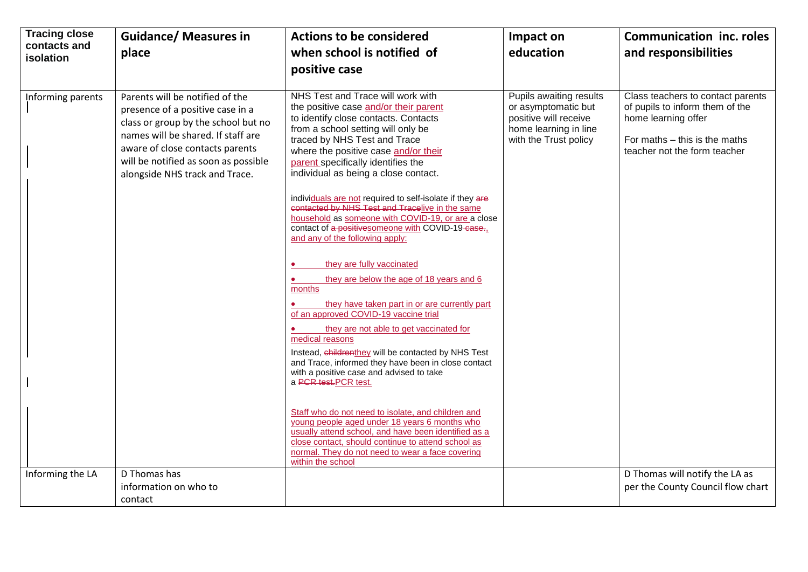| <b>Tracing close</b><br>contacts and | <b>Guidance/ Measures in</b>                                                                                                                                                                                                                                  | <b>Actions to be considered</b>                                                                                                                                                                                                                                                                                                                                                                                                                                                                                                                                                                                                                                                                                                                                                                                                                                                                                                                                                                                        | Impact on                                                                                                                 | <b>Communication inc. roles</b>                                                                                                                              |
|--------------------------------------|---------------------------------------------------------------------------------------------------------------------------------------------------------------------------------------------------------------------------------------------------------------|------------------------------------------------------------------------------------------------------------------------------------------------------------------------------------------------------------------------------------------------------------------------------------------------------------------------------------------------------------------------------------------------------------------------------------------------------------------------------------------------------------------------------------------------------------------------------------------------------------------------------------------------------------------------------------------------------------------------------------------------------------------------------------------------------------------------------------------------------------------------------------------------------------------------------------------------------------------------------------------------------------------------|---------------------------------------------------------------------------------------------------------------------------|--------------------------------------------------------------------------------------------------------------------------------------------------------------|
| <b>isolation</b>                     | place                                                                                                                                                                                                                                                         | when school is notified of                                                                                                                                                                                                                                                                                                                                                                                                                                                                                                                                                                                                                                                                                                                                                                                                                                                                                                                                                                                             | education                                                                                                                 | and responsibilities                                                                                                                                         |
|                                      |                                                                                                                                                                                                                                                               | positive case                                                                                                                                                                                                                                                                                                                                                                                                                                                                                                                                                                                                                                                                                                                                                                                                                                                                                                                                                                                                          |                                                                                                                           |                                                                                                                                                              |
| Informing parents                    | Parents will be notified of the<br>presence of a positive case in a<br>class or group by the school but no<br>names will be shared. If staff are<br>aware of close contacts parents<br>will be notified as soon as possible<br>alongside NHS track and Trace. | NHS Test and Trace will work with<br>the positive case and/or their parent<br>to identify close contacts. Contacts<br>from a school setting will only be<br>traced by NHS Test and Trace<br>where the positive case and/or their<br>parent specifically identifies the<br>individual as being a close contact.<br>individuals are not required to self-isolate if they are<br>contacted by NHS Test and Tracelive in the same<br>household as someone with COVID-19, or are a close<br>contact of a positive someone with COVID-19-case-1<br>and any of the following apply:<br>they are fully vaccinated<br>they are below the age of 18 years and 6<br>$\bullet$<br>months<br>they have taken part in or are currently part<br>of an approved COVID-19 vaccine trial<br>they are not able to get vaccinated for<br>medical reasons<br>Instead, childrenthey will be contacted by NHS Test<br>and Trace, informed they have been in close contact<br>with a positive case and advised to take<br>a PCR test.PCR test. | Pupils awaiting results<br>or asymptomatic but<br>positive will receive<br>home learning in line<br>with the Trust policy | Class teachers to contact parents<br>of pupils to inform them of the<br>home learning offer<br>For maths - this is the maths<br>teacher not the form teacher |
|                                      |                                                                                                                                                                                                                                                               | Staff who do not need to isolate, and children and<br>young people aged under 18 years 6 months who<br>usually attend school, and have been identified as a<br>close contact, should continue to attend school as<br>normal. They do not need to wear a face covering<br>within the school                                                                                                                                                                                                                                                                                                                                                                                                                                                                                                                                                                                                                                                                                                                             |                                                                                                                           |                                                                                                                                                              |
| Informing the LA                     | D Thomas has                                                                                                                                                                                                                                                  |                                                                                                                                                                                                                                                                                                                                                                                                                                                                                                                                                                                                                                                                                                                                                                                                                                                                                                                                                                                                                        |                                                                                                                           | D Thomas will notify the LA as                                                                                                                               |
|                                      | information on who to                                                                                                                                                                                                                                         |                                                                                                                                                                                                                                                                                                                                                                                                                                                                                                                                                                                                                                                                                                                                                                                                                                                                                                                                                                                                                        |                                                                                                                           | per the County Council flow chart                                                                                                                            |
|                                      | contact                                                                                                                                                                                                                                                       |                                                                                                                                                                                                                                                                                                                                                                                                                                                                                                                                                                                                                                                                                                                                                                                                                                                                                                                                                                                                                        |                                                                                                                           |                                                                                                                                                              |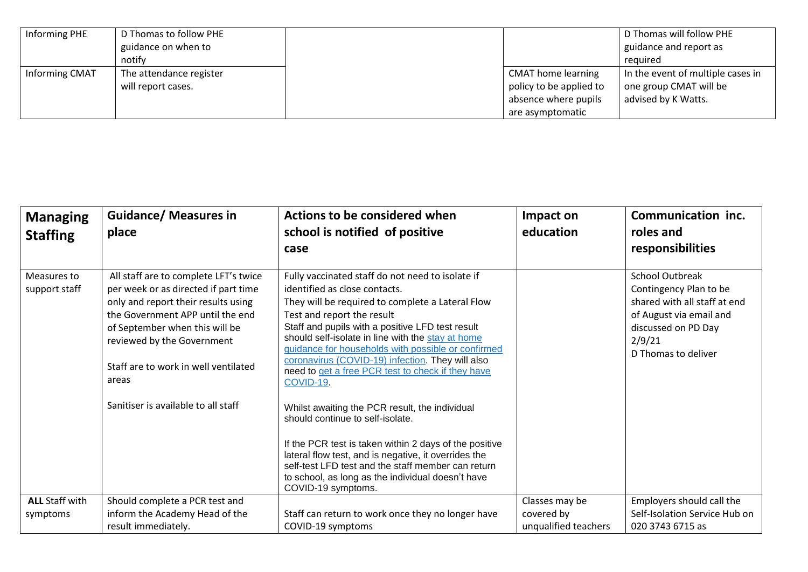| Informing PHE  | D Thomas to follow PHE  |                           | D Thomas will follow PHE          |
|----------------|-------------------------|---------------------------|-----------------------------------|
|                | guidance on when to     |                           | guidance and report as            |
|                | notify                  |                           | reguired                          |
| Informing CMAT | The attendance register | <b>CMAT home learning</b> | In the event of multiple cases in |
|                | will report cases.      | policy to be applied to   | one group CMAT will be            |
|                |                         | absence where pupils      | advised by K Watts.               |
|                |                         | are asymptomatic          |                                   |

| <b>Managing</b><br><b>Staffing</b> | <b>Guidance/ Measures in</b><br>place                                                                                                                                                                                                                                                                            | <b>Actions to be considered when</b><br>school is notified of positive<br>case                                                                                                                                                                                                                                                                                                                                                                                                                                                                                                                                                                                                                                                                                                                    | Impact on<br>education | Communication inc.<br>roles and<br>responsibilities                                                                                                                 |
|------------------------------------|------------------------------------------------------------------------------------------------------------------------------------------------------------------------------------------------------------------------------------------------------------------------------------------------------------------|---------------------------------------------------------------------------------------------------------------------------------------------------------------------------------------------------------------------------------------------------------------------------------------------------------------------------------------------------------------------------------------------------------------------------------------------------------------------------------------------------------------------------------------------------------------------------------------------------------------------------------------------------------------------------------------------------------------------------------------------------------------------------------------------------|------------------------|---------------------------------------------------------------------------------------------------------------------------------------------------------------------|
| Measures to<br>support staff       | All staff are to complete LFT's twice<br>per week or as directed if part time<br>only and report their results using<br>the Government APP until the end<br>of September when this will be<br>reviewed by the Government<br>Staff are to work in well ventilated<br>areas<br>Sanitiser is available to all staff | Fully vaccinated staff do not need to isolate if<br>identified as close contacts.<br>They will be required to complete a Lateral Flow<br>Test and report the result<br>Staff and pupils with a positive LFD test result<br>should self-isolate in line with the stay at home<br>guidance for households with possible or confirmed<br>coronavirus (COVID-19) infection. They will also<br>need to get a free PCR test to check if they have<br>COVID-19.<br>Whilst awaiting the PCR result, the individual<br>should continue to self-isolate.<br>If the PCR test is taken within 2 days of the positive<br>lateral flow test, and is negative, it overrides the<br>self-test LFD test and the staff member can return<br>to school, as long as the individual doesn't have<br>COVID-19 symptoms. |                        | <b>School Outbreak</b><br>Contingency Plan to be<br>shared with all staff at end<br>of August via email and<br>discussed on PD Day<br>2/9/21<br>D Thomas to deliver |
| <b>ALL Staff with</b>              | Should complete a PCR test and                                                                                                                                                                                                                                                                                   |                                                                                                                                                                                                                                                                                                                                                                                                                                                                                                                                                                                                                                                                                                                                                                                                   | Classes may be         | Employers should call the                                                                                                                                           |
| symptoms                           | inform the Academy Head of the                                                                                                                                                                                                                                                                                   | Staff can return to work once they no longer have                                                                                                                                                                                                                                                                                                                                                                                                                                                                                                                                                                                                                                                                                                                                                 | covered by             | Self-Isolation Service Hub on                                                                                                                                       |
|                                    | result immediately.                                                                                                                                                                                                                                                                                              | COVID-19 symptoms                                                                                                                                                                                                                                                                                                                                                                                                                                                                                                                                                                                                                                                                                                                                                                                 | unqualified teachers   | 020 3743 6715 as                                                                                                                                                    |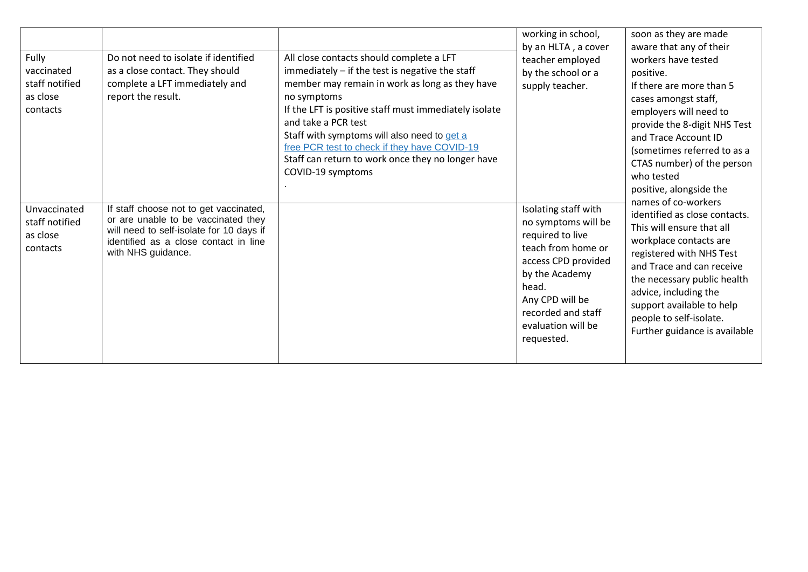| Fully<br>vaccinated<br>staff notified<br>as close<br>contacts | Do not need to isolate if identified<br>as a close contact. They should<br>complete a LFT immediately and<br>report the result.                                                          | All close contacts should complete a LFT<br>immediately - if the test is negative the staff<br>member may remain in work as long as they have<br>no symptoms<br>If the LFT is positive staff must immediately isolate<br>and take a PCR test<br>Staff with symptoms will also need to get a<br>free PCR test to check if they have COVID-19<br>Staff can return to work once they no longer have<br>COVID-19 symptoms | working in school,<br>by an HLTA, a cover<br>teacher employed<br>by the school or a<br>positive.<br>supply teacher.                                                                                                  | soon as they are made<br>aware that any of their<br>workers have tested<br>If there are more than 5<br>cases amongst staff,<br>employers will need to<br>provide the 8-digit NHS Test<br>and Trace Account ID<br>(sometimes referred to as a<br>CTAS number) of the person<br>who tested<br>positive, alongside the   |
|---------------------------------------------------------------|------------------------------------------------------------------------------------------------------------------------------------------------------------------------------------------|-----------------------------------------------------------------------------------------------------------------------------------------------------------------------------------------------------------------------------------------------------------------------------------------------------------------------------------------------------------------------------------------------------------------------|----------------------------------------------------------------------------------------------------------------------------------------------------------------------------------------------------------------------|-----------------------------------------------------------------------------------------------------------------------------------------------------------------------------------------------------------------------------------------------------------------------------------------------------------------------|
| Unvaccinated<br>staff notified<br>as close<br>contacts        | If staff choose not to get vaccinated,<br>or are unable to be vaccinated they<br>will need to self-isolate for 10 days if<br>identified as a close contact in line<br>with NHS guidance. |                                                                                                                                                                                                                                                                                                                                                                                                                       | Isolating staff with<br>no symptoms will be<br>required to live<br>teach from home or<br>access CPD provided<br>by the Academy<br>head.<br>Any CPD will be<br>recorded and staff<br>evaluation will be<br>requested. | names of co-workers<br>identified as close contacts.<br>This will ensure that all<br>workplace contacts are<br>registered with NHS Test<br>and Trace and can receive<br>the necessary public health<br>advice, including the<br>support available to help<br>people to self-isolate.<br>Further guidance is available |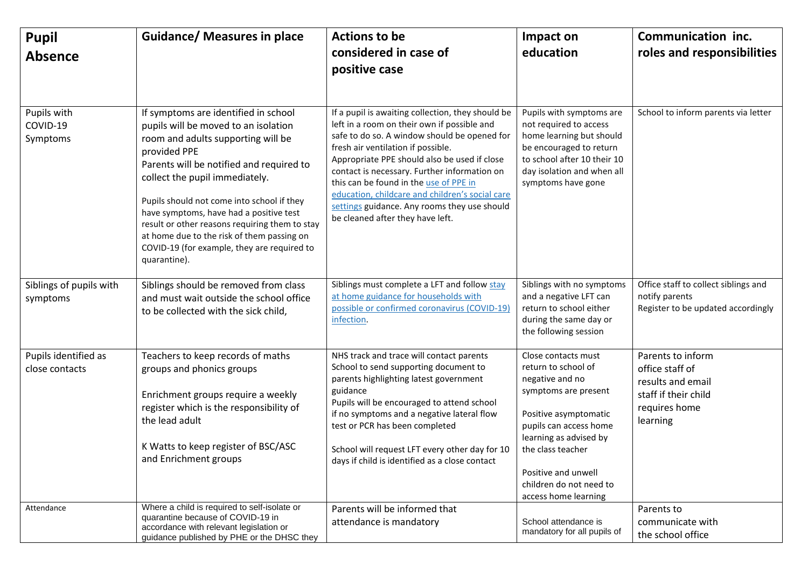| <b>Pupil</b><br><b>Absence</b>         | <b>Guidance/ Measures in place</b>                                                                                                                                                                                                                                                                                                                                                                                                                                       | <b>Actions to be</b><br>considered in case of<br>positive case                                                                                                                                                                                                                                                                                                                                                                                                          | Impact on<br>education                                                                                                                                                                                                                                            | Communication inc.<br>roles and responsibilities                                                               |
|----------------------------------------|--------------------------------------------------------------------------------------------------------------------------------------------------------------------------------------------------------------------------------------------------------------------------------------------------------------------------------------------------------------------------------------------------------------------------------------------------------------------------|-------------------------------------------------------------------------------------------------------------------------------------------------------------------------------------------------------------------------------------------------------------------------------------------------------------------------------------------------------------------------------------------------------------------------------------------------------------------------|-------------------------------------------------------------------------------------------------------------------------------------------------------------------------------------------------------------------------------------------------------------------|----------------------------------------------------------------------------------------------------------------|
| Pupils with<br>COVID-19<br>Symptoms    | If symptoms are identified in school<br>pupils will be moved to an isolation<br>room and adults supporting will be<br>provided PPE<br>Parents will be notified and required to<br>collect the pupil immediately.<br>Pupils should not come into school if they<br>have symptoms, have had a positive test<br>result or other reasons requiring them to stay<br>at home due to the risk of them passing on<br>COVID-19 (for example, they are required to<br>quarantine). | If a pupil is awaiting collection, they should be<br>left in a room on their own if possible and<br>safe to do so. A window should be opened for<br>fresh air ventilation if possible.<br>Appropriate PPE should also be used if close<br>contact is necessary. Further information on<br>this can be found in the use of PPE in<br>education, childcare and children's social care<br>settings guidance. Any rooms they use should<br>be cleaned after they have left. | Pupils with symptoms are<br>not required to access<br>home learning but should<br>be encouraged to return<br>to school after 10 their 10<br>day isolation and when all<br>symptoms have gone                                                                      | School to inform parents via letter                                                                            |
| Siblings of pupils with<br>symptoms    | Siblings should be removed from class<br>and must wait outside the school office<br>to be collected with the sick child,                                                                                                                                                                                                                                                                                                                                                 | Siblings must complete a LFT and follow stay<br>at home guidance for households with<br>possible or confirmed coronavirus (COVID-19)<br>infection.                                                                                                                                                                                                                                                                                                                      | Siblings with no symptoms<br>and a negative LFT can<br>return to school either<br>during the same day or<br>the following session                                                                                                                                 | Office staff to collect siblings and<br>notify parents<br>Register to be updated accordingly                   |
| Pupils identified as<br>close contacts | Teachers to keep records of maths<br>groups and phonics groups<br>Enrichment groups require a weekly<br>register which is the responsibility of<br>the lead adult<br>K Watts to keep register of BSC/ASC<br>and Enrichment groups                                                                                                                                                                                                                                        | NHS track and trace will contact parents<br>School to send supporting document to<br>parents highlighting latest government<br>guidance<br>Pupils will be encouraged to attend school<br>if no symptoms and a negative lateral flow<br>test or PCR has been completed<br>School will request LFT every other day for 10<br>days if child is identified as a close contact                                                                                               | Close contacts must<br>return to school of<br>negative and no<br>symptoms are present<br>Positive asymptomatic<br>pupils can access home<br>learning as advised by<br>the class teacher<br>Positive and unwell<br>children do not need to<br>access home learning | Parents to inform<br>office staff of<br>results and email<br>staff if their child<br>requires home<br>learning |
| Attendance                             | Where a child is required to self-isolate or<br>quarantine because of COVID-19 in<br>accordance with relevant legislation or<br>guidance published by PHE or the DHSC they                                                                                                                                                                                                                                                                                               | Parents will be informed that<br>attendance is mandatory                                                                                                                                                                                                                                                                                                                                                                                                                | School attendance is<br>mandatory for all pupils of                                                                                                                                                                                                               | Parents to<br>communicate with<br>the school office                                                            |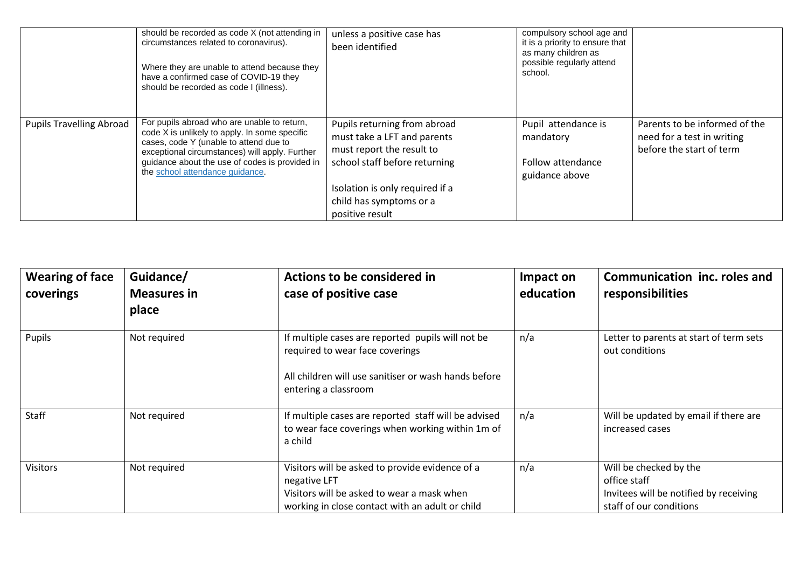|                                 | should be recorded as code X (not attending in<br>circumstances related to coronavirus).<br>Where they are unable to attend because they<br>have a confirmed case of COVID-19 they<br>should be recorded as code I (illness).                                                 | unless a positive case has<br>been identified                                                                                                                                                              | compulsory school age and<br>it is a priority to ensure that<br>as many children as<br>possible regularly attend<br>school. |                                                                                         |
|---------------------------------|-------------------------------------------------------------------------------------------------------------------------------------------------------------------------------------------------------------------------------------------------------------------------------|------------------------------------------------------------------------------------------------------------------------------------------------------------------------------------------------------------|-----------------------------------------------------------------------------------------------------------------------------|-----------------------------------------------------------------------------------------|
| <b>Pupils Travelling Abroad</b> | For pupils abroad who are unable to return,<br>code X is unlikely to apply. In some specific<br>cases, code Y (unable to attend due to<br>exceptional circumstances) will apply. Further<br>guidance about the use of codes is provided in<br>the school attendance guidance. | Pupils returning from abroad<br>must take a LFT and parents<br>must report the result to<br>school staff before returning<br>Isolation is only required if a<br>child has symptoms or a<br>positive result | Pupil attendance is<br>mandatory<br>Follow attendance<br>guidance above                                                     | Parents to be informed of the<br>need for a test in writing<br>before the start of term |

| <b>Wearing of face</b><br>coverings | Guidance/<br><b>Measures in</b><br>place | Actions to be considered in<br>case of positive case                                                                                                                 | Impact on<br>education | Communication inc. roles and<br>responsibilities                                                            |
|-------------------------------------|------------------------------------------|----------------------------------------------------------------------------------------------------------------------------------------------------------------------|------------------------|-------------------------------------------------------------------------------------------------------------|
| Pupils                              | Not required                             | If multiple cases are reported pupils will not be<br>required to wear face coverings<br>All children will use sanitiser or wash hands before<br>entering a classroom | n/a                    | Letter to parents at start of term sets<br>out conditions                                                   |
| Staff                               | Not required                             | If multiple cases are reported staff will be advised<br>to wear face coverings when working within 1m of<br>a child                                                  | n/a                    | Will be updated by email if there are<br>increased cases                                                    |
| <b>Visitors</b>                     | Not required                             | Visitors will be asked to provide evidence of a<br>negative LFT<br>Visitors will be asked to wear a mask when<br>working in close contact with an adult or child     | n/a                    | Will be checked by the<br>office staff<br>Invitees will be notified by receiving<br>staff of our conditions |